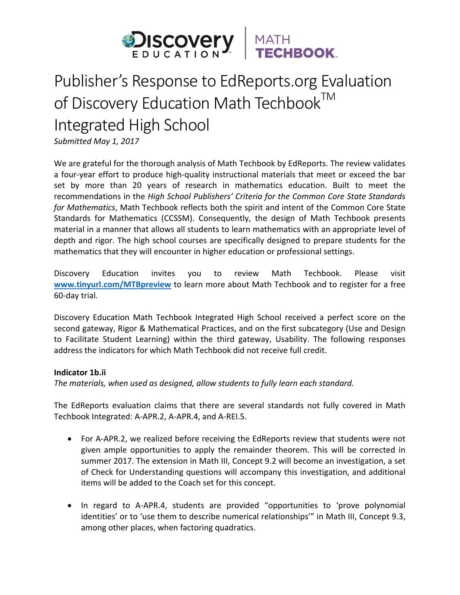

# Publisher's Response to EdReports.org Evaluation of Discovery Education Math Techbook<sup>TM</sup> Integrated High School

Submitted May 1, 2017

We are grateful for the thorough analysis of Math Techbook by EdReports. The review validates a four-year effort to produce high-quality instructional materials that meet or exceed the bar set by more than 20 years of research in mathematics education. Built to meet the recommendations in the *High School Publishers' Criteria for the Common Core State Standards* for Mathematics, Math Techbook reflects both the spirit and intent of the Common Core State Standards for Mathematics (CCSSM). Consequently, the design of Math Techbook presents material in a manner that allows all students to learn mathematics with an appropriate level of depth and rigor. The high school courses are specifically designed to prepare students for the mathematics that they will encounter in higher education or professional settings.

Discovery Education invites you to review Math Techbook. Please visit www.tinyurl.com/MTBpreview to learn more about Math Techbook and to register for a free 60-day trial. 

Discovery Education Math Techbook Integrated High School received a perfect score on the second gateway, Rigor & Mathematical Practices, and on the first subcategory (Use and Design to Facilitate Student Learning) within the third gateway, Usability. The following responses address the indicators for which Math Techbook did not receive full credit.

# **Indicator 1b.ii**

The materials, when used as designed, allow students to fully learn each standard.

The EdReports evaluation claims that there are several standards not fully covered in Math Techbook Integrated: A-APR.2, A-APR.4, and A-REI.5.

- For A-APR.2, we realized before receiving the EdReports review that students were not given ample opportunities to apply the remainder theorem. This will be corrected in summer 2017. The extension in Math III, Concept 9.2 will become an investigation, a set of Check for Understanding questions will accompany this investigation, and additional items will be added to the Coach set for this concept.
- In regard to A-APR.4, students are provided "opportunities to 'prove polynomial identities' or to 'use them to describe numerical relationships'" in Math III, Concept 9.3, among other places, when factoring quadratics.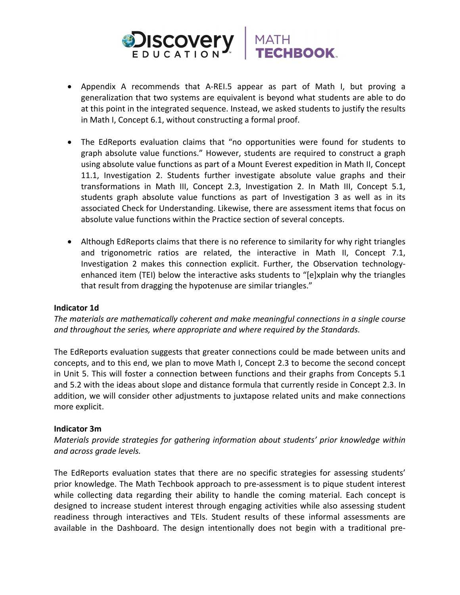



- Appendix A recommends that A-REI.5 appear as part of Math I, but proving a generalization that two systems are equivalent is beyond what students are able to do at this point in the integrated sequence. Instead, we asked students to justify the results in Math I, Concept 6.1, without constructing a formal proof.
- The EdReports evaluation claims that "no opportunities were found for students to graph absolute value functions." However, students are required to construct a graph using absolute value functions as part of a Mount Everest expedition in Math II, Concept 11.1, Investigation 2. Students further investigate absolute value graphs and their transformations in Math III, Concept 2.3, Investigation 2. In Math III, Concept 5.1, students graph absolute value functions as part of Investigation 3 as well as in its associated Check for Understanding. Likewise, there are assessment items that focus on absolute value functions within the Practice section of several concepts.
- Although EdReports claims that there is no reference to similarity for why right triangles and trigonometric ratios are related, the interactive in Math II, Concept 7.1, Investigation 2 makes this connection explicit. Further, the Observation technologyenhanced item (TEI) below the interactive asks students to "[e]xplain why the triangles that result from dragging the hypotenuse are similar triangles."

# **Indicator 1d**

The materials are mathematically coherent and make meaningful connections in a single course and throughout the series, where appropriate and where required by the Standards.

The EdReports evaluation suggests that greater connections could be made between units and concepts, and to this end, we plan to move Math I, Concept 2.3 to become the second concept in Unit 5. This will foster a connection between functions and their graphs from Concepts 5.1 and 5.2 with the ideas about slope and distance formula that currently reside in Concept 2.3. In addition, we will consider other adjustments to juxtapose related units and make connections more explicit.

#### **Indicator 3m**

*Materials provide strategies for gathering information about students' prior knowledge within and across grade levels.*

The EdReports evaluation states that there are no specific strategies for assessing students' prior knowledge. The Math Techbook approach to pre-assessment is to pique student interest while collecting data regarding their ability to handle the coming material. Each concept is designed to increase student interest through engaging activities while also assessing student readiness through interactives and TEIs. Student results of these informal assessments are available in the Dashboard. The design intentionally does not begin with a traditional pre-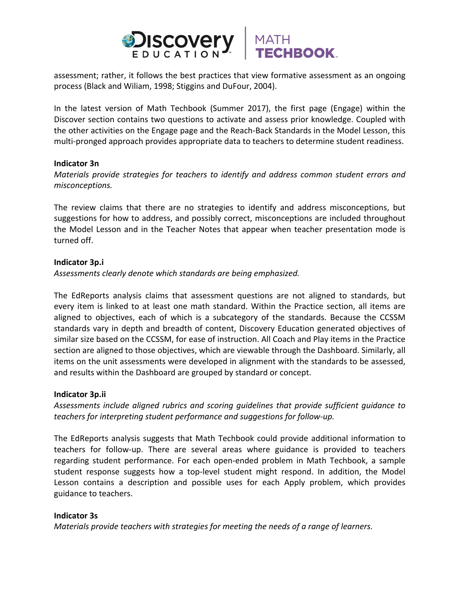

assessment; rather, it follows the best practices that view formative assessment as an ongoing process (Black and Wiliam, 1998; Stiggins and DuFour, 2004).

In the latest version of Math Techbook (Summer 2017), the first page (Engage) within the Discover section contains two questions to activate and assess prior knowledge. Coupled with the other activities on the Engage page and the Reach-Back Standards in the Model Lesson, this multi-pronged approach provides appropriate data to teachers to determine student readiness.

#### **Indicator 3n**

*Materials provide strategies for teachers to identify and address common student errors and misconceptions.*

The review claims that there are no strategies to identify and address misconceptions, but suggestions for how to address, and possibly correct, misconceptions are included throughout the Model Lesson and in the Teacher Notes that appear when teacher presentation mode is turned off.

## **Indicator 3p.i**

*Assessments clearly denote which standards are being emphasized.*

The EdReports analysis claims that assessment questions are not aligned to standards, but every item is linked to at least one math standard. Within the Practice section, all items are aligned to objectives, each of which is a subcategory of the standards. Because the CCSSM standards vary in depth and breadth of content, Discovery Education generated objectives of similar size based on the CCSSM, for ease of instruction. All Coach and Play items in the Practice section are aligned to those objectives, which are viewable through the Dashboard. Similarly, all items on the unit assessments were developed in alignment with the standards to be assessed, and results within the Dashboard are grouped by standard or concept.

# **Indicator 3p.ii**

Assessments include aligned rubrics and scoring quidelines that provide sufficient quidance to *teachers for interpreting student performance and suggestions for follow-up.* 

The EdReports analysis suggests that Math Techbook could provide additional information to teachers for follow-up. There are several areas where guidance is provided to teachers regarding student performance. For each open-ended problem in Math Techbook, a sample student response suggests how a top-level student might respond. In addition, the Model Lesson contains a description and possible uses for each Apply problem, which provides guidance to teachers.

# **Indicator 3s**

*Materials provide teachers with strategies for meeting the needs of a range of learners.*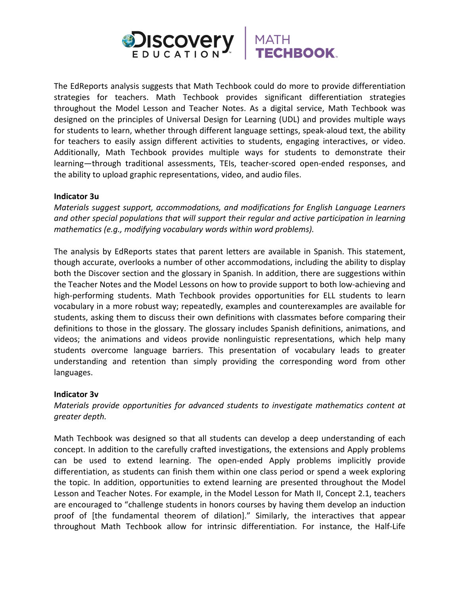

The EdReports analysis suggests that Math Techbook could do more to provide differentiation strategies for teachers. Math Techbook provides significant differentiation strategies throughout the Model Lesson and Teacher Notes. As a digital service, Math Techbook was designed on the principles of Universal Design for Learning (UDL) and provides multiple ways for students to learn, whether through different language settings, speak-aloud text, the ability for teachers to easily assign different activities to students, engaging interactives, or video. Additionally, Math Techbook provides multiple ways for students to demonstrate their learning—through traditional assessments, TEIs, teacher-scored open-ended responses, and the ability to upload graphic representations, video, and audio files.

## **Indicator 3u**

*Materials suggest support, accommodations, and modifications for English Language Learners* and other special populations that will support their regular and active participation in learning *mathematics* (e.g., modifying vocabulary words within word problems).

The analysis by EdReports states that parent letters are available in Spanish. This statement, though accurate, overlooks a number of other accommodations, including the ability to display both the Discover section and the glossary in Spanish. In addition, there are suggestions within the Teacher Notes and the Model Lessons on how to provide support to both low-achieving and high-performing students. Math Techbook provides opportunities for ELL students to learn vocabulary in a more robust way; repeatedly, examples and counterexamples are available for students, asking them to discuss their own definitions with classmates before comparing their definitions to those in the glossary. The glossary includes Spanish definitions, animations, and videos; the animations and videos provide nonlinguistic representations, which help many students overcome language barriers. This presentation of vocabulary leads to greater understanding and retention than simply providing the corresponding word from other languages.

# **Indicator 3v**

*Materials provide opportunities for advanced students to investigate mathematics content at greater depth.*

Math Techbook was designed so that all students can develop a deep understanding of each concept. In addition to the carefully crafted investigations, the extensions and Apply problems can be used to extend learning. The open-ended Apply problems implicitly provide differentiation, as students can finish them within one class period or spend a week exploring the topic. In addition, opportunities to extend learning are presented throughout the Model Lesson and Teacher Notes. For example, in the Model Lesson for Math II, Concept 2.1, teachers are encouraged to "challenge students in honors courses by having them develop an induction proof of [the fundamental theorem of dilation]." Similarly, the interactives that appear throughout Math Techbook allow for intrinsic differentiation. For instance, the Half-Life